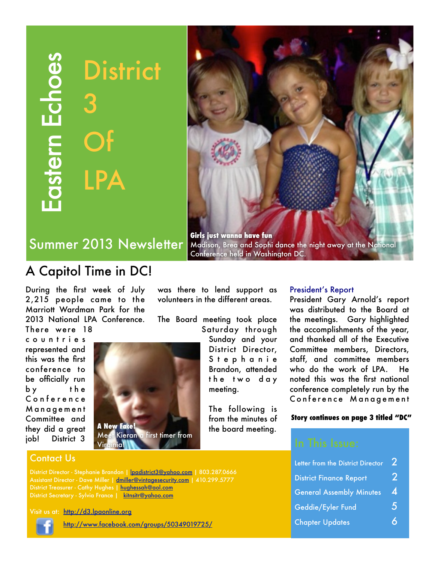Eastern Echoes Eastern Echoes **District** 3 Of LPA



Summer 2013 Newsletter

## A Capitol Time in DC!

During the first week of July 2,215 people came to the Marriott Wardman Park for the 2013 National LPA Conference. There were 18

c o u n t r i e s represented and this was the first conference to be officially run by the C o n f e r e n c e M a n a g e m e n t Committee and they did a great job! District 3

# **A New Face!** Meet Kieran a first timer from

was there to lend support as volunteers in the different areas.

The Board meeting took place Saturday through

> Sunday and your District Director, S t e p h a n i e t h e t w o d a y meeting.

## President's Report

President Gary Arnold's report was distributed to the Board at the meetings. Gary highlighted the accomplishments of the year, and thanked all of the Executive Committee members, Directors, staff, and committee members who do the work of LPA. He noted this was the first national conference completely run by the Conference Management

#### **Story continues on page 3 titled "DC"**

| Letter from the District Director |    |
|-----------------------------------|----|
| <b>District Finance Report</b>    | 2  |
| <b>General Assembly Minutes</b>   | 4  |
| Geddie/Eyler Fund                 | Ś. |
| <b>Chapter Updates</b>            |    |

Virginia!

Contact Us

District Director - Stephanie Brandon | [lpadistrict3@yahoo.com](mailto:lpadistrict3@yahoo.com) | 803.287.0666 Assistant Director - Dave Miller | [dmiller@vintagesecurity.com](mailto:dmiller@vintagesecurity.com) | 410.299.5777 District Treasurer - Cathy Hughes | [hughessah@aol.com](http://us.mg6.mail.yahoo.com/yab-fe/mu/MainView?.src=neo&themeName=green&stab=1321216816461#) District Secretary - Sylvia France | [kitnsitr@yahoo.com](http://us.mg6.mail.yahoo.com/yab-fe/mu/MainView?.src=neo&themeName=green&stab=1321216816461#)

Visit us at: <http://d3.lpaonline.org>



<http://www.facebook.com/groups/50349019725/>

Brandon, attended

The following is from the minutes of the board meeting.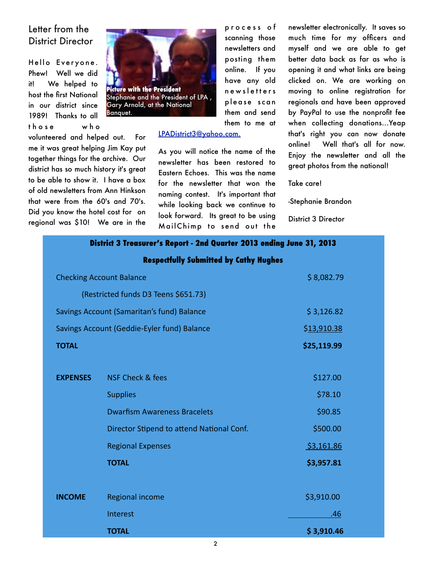## Letter from the District Director

Hello Everyone. Phew! Well we did it! We helped to host the first National in our district since 1989! Thanks to all t h o s e w h o

volunteered and helped out. For me it was great helping Jim Kay put together things for the archive. Our district has so much history it's great to be able to show it. I have a box of old newsletters from Ann Hinkson that were from the 60's and 70's. Did you know the hotel cost for on regional was \$10! We are in the



p r o c e s s o f scanning those newsletters and posting them online. If you have any old n e w s l e t t e r s please scan them and send them to me at

#### [LPADistrict3@yahoo.com.](mailto:LPADistrict3@yahoo.com.)

As you will notice the name of the newsletter has been restored to Eastern Echoes. This was the name for the newsletter that won the naming contest. It's important that while looking back we continue to look forward. Its great to be using MailChimp to send out the newsletter electronically. It saves so much time for my officers and myself and we are able to get better data back as far as who is opening it and what links are being clicked on. We are working on moving to online registration for regionals and have been approved by PayPal to use the nonprofit fee when collecting donations...Yeap that's right you can now donate online! Well that's all for now. Enjoy the newsletter and all the great photos from the national!

Take care!

-Stephanie Brandon

District 3 Director

#### **District 3 Treasurer's Report - 2nd Quarter 2013 ending June 31, 2013**

#### **Respectfully Submitted by Cathy Hughes**

| <b>Checking Account Balance</b>             |                                           | \$8,082.79  |
|---------------------------------------------|-------------------------------------------|-------------|
|                                             | (Restricted funds D3 Teens \$651.73)      |             |
| Savings Account (Samaritan's fund) Balance  |                                           | \$3,126.82  |
| Savings Account (Geddie-Eyler fund) Balance |                                           | \$13,910.38 |
| <b>TOTAL</b>                                |                                           | \$25,119.99 |
|                                             |                                           |             |
| <b>EXPENSES</b>                             | NSF Check & fees                          | \$127.00    |
|                                             | <b>Supplies</b>                           | \$78.10     |
|                                             | <b>Dwarfism Awareness Bracelets</b>       | \$90.85     |
|                                             | Director Stipend to attend National Conf. | \$500.00    |
|                                             | <b>Regional Expenses</b>                  | \$3,161.86  |
|                                             | <b>TOTAL</b>                              | \$3,957.81  |
|                                             |                                           |             |
| <b>INCOME</b>                               | Regional income                           | \$3,910.00  |
|                                             | Interest                                  | .46         |
|                                             | <b>TOTAL</b>                              | \$3,910.46  |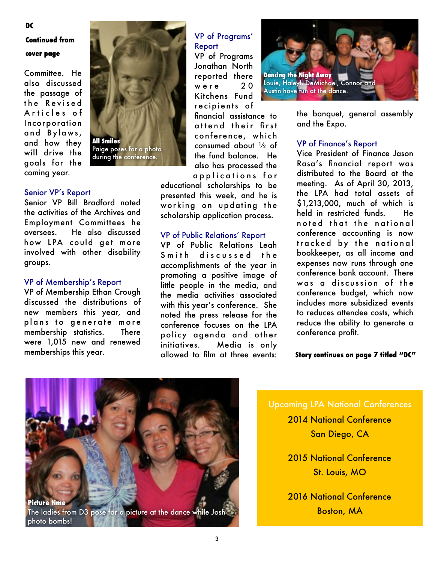#### **DC**

## **Continued from cover page**

Committee. He also discussed the passage of the Revised Articles of Incorporation and Bylaws, and how they will drive the goals for the coming year.

#### Senior VP's Report

Senior VP Bill Bradford noted the activities of the Archives and Employment Committees he oversees. He also discussed how LPA could get more involved with other disability groups.

#### VP of Membership's Report

VP of Membership Ethan Crough discussed the distributions of new members this year, and plans to generate more membership statistics. There were 1,015 new and renewed memberships this year.



## VP of Programs' Report VP of Programs

Jonathan North reported there were 20 Kitchens Fund recipients of

financial assistance to attend their first conference, which consumed about ½ of the fund balance. He also has processed the a p p lications for

educational scholarships to be presented this week, and he is working on updating the scholarship application process.

#### VP of Public Relations' Report

VP of Public Relations Leah Smith discussed the accomplishments of the year in promoting a positive image of little people in the media, and the media activities associated with this year's conference. She noted the press release for the conference focuses on the LPA policy agenda and other initiatives. Media is only allowed to film at three events:



the banquet, general assembly and the Expo.

#### VP of Finance's Report

Vice President of Finance Jason Rasa's financial report was distributed to the Board at the meeting. As of April 30, 2013, the LPA had total assets of \$1,213,000, much of which is held in restricted funds. He noted that the national conference accounting is now tracked by the national bookkeeper, as all income and expenses now runs through one conference bank account. There was a discussion of the conference budget, which now includes more subsidized events to reduces attendee costs, which reduce the ability to generate a conference profit.

**Story continues on page 7 titled "DC"**



## Upcoming LPA National Conferences

2014 National Conference San Diego, CA

2015 National Conference St. Louis, MO

2016 National Conference Boston, MA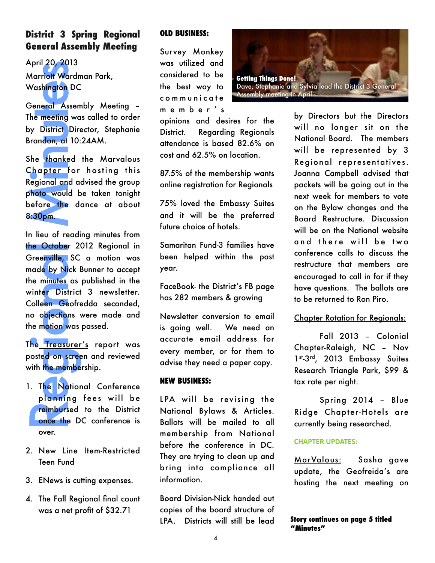## **District 3 Spring Regional General Assembly Meeting**

April 20, 2013 Marriott Wardman Park, Washington DC

General Assembly Meeting – The meeting was called to order by District Director, Stephanie Brandon, at 10:24AM.

She thanked the Marvalous Chapter for hosting this Regional and advised the group photo would be taken tonight before the dance at about 8:30pm.

April 20, 2013<br>
Marriott Wardn<br>
Washington DC<br>
General Assem<br>
The meeting wa<br>
by District Dire<br>
Brandon, at 10:<br>
She thanked<br>
Chapter for<br>
Regional and a<br>
photo would b<br>
before the d<br>
8:30pm.<br>
In lieu of readi<br>
the October In lieu of reading minutes from the October 2012 Regional in Greenville, SC a motion was made by Nick Bunner to accept the minutes as published in the winter District 3 newsletter. Colleen Geofredda seconded, no objections were made and the motion was passed.

The Treasurer's report was posted on screen and reviewed with the membership.

- 1. The National Conference planning fees will be reimbursed to the District once the DC conference is over.
- 2. New Line Item-Restricted Teen Fund
- 3. ENews is cutting expenses.
- 4. The Fall Regional final count was a net profit of \$32.71

#### **OLD BUSINESS:**

Survey Monkey was utilized and considered to be the best way to c o m m u n i c a t e m e m b e r ' s

opinions and desires for the District. Regarding Regionals attendance is based 82.6% on cost and 62.5% on location.

87.5% of the membership wants online registration for Regionals

75% loved the Embassy Suites and it will be the preferred future choice of hotels.

Samaritan Fund-3 families have been helped within the past year.

FaceBook- the District's FB page has 282 members & growing

Newsletter conversion to email is going well. We need an accurate email address for every member, or for them to advise they need a paper copy.

#### **NEW BUSINESS:**

LPA will be revising the National Bylaws & Articles. Ballots will be mailed to all membership from National before the conference in DC. They are trying to clean up and bring into compliance all information.

Board Division-Nick handed out copies of the board structure of LPA. Districts will still be lead



by Directors but the Directors will no longer sit on the National Board. The members will be represented by 3 Regional representatives. Joanna Campbell advised that packets will be going out in the next week for members to vote on the Bylaw changes and the Board Restructure. Discussion will be on the National website and there will be two conference calls to discuss the restructure that members are encouraged to call in for if they have questions. The ballots are to be returned to Ron Piro.

### Chapter Rotation for Regionals:

Fall 2013 – Colonial Chapter-Raleigh, NC – Nov 1st-3rd, 2013 Embassy Suites Research Triangle Park, \$99 & tax rate per night.

Spring 2014 – Blue Ridge Chapter-Hotels are currently being researched.

#### **CHAPTER UPDATES:**

MarValous: Sasha gave update, the Geofreida's are hosting the next meeting on

#### **Story continues on page 5 titled "Minutes"**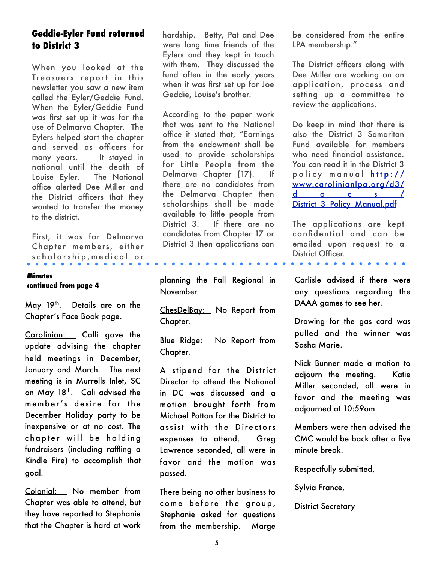## **Geddie-Eyler Fund returned to District 3**

When you looked at the Treasuers report in this newsletter you saw a new item called the Eyler/Geddie Fund. When the Eyler/Geddie Fund was first set up it was for the use of Delmarva Chapter. The Eylers helped start the chapter and served as officers for many years. It stayed in national until the death of Louise Eyler. The National office alerted Dee Miller and the District officers that they wanted to transfer the money to the district.

First, it was for Delmarva Chapter members, either s ch o l ar ship, me dical or

#### **Minutes continued from page 4**

May 19th. Details are on the Chapter's Face Book page.

Carolinian: Calli gave the update advising the chapter held meetings in December, January and March. The next meeting is in Murrells Inlet, SC on May 18th. Cali advised the member's desire for the December Holiday party to be inexpensive or at no cost. The chapter will be holding fundraisers (including raffling a Kindle Fire) to accomplish that goal.

Colonial: No member from Chapter was able to attend, but they have reported to Stephanie that the Chapter is hard at work hardship. Betty, Pat and Dee were long time friends of the Eylers and they kept in touch with them. They discussed the fund often in the early years when it was first set up for Joe Geddie, Louise's brother.

According to the paper work that was sent to the National office it stated that, "Earnings from the endowment shall be used to provide scholarships for Little People from the Delmarva Chapter (17). If there are no candidates from the Delmarva Chapter then scholarships shall be made available to little people from District 3. If there are no candidates from Chapter 17 or District 3 then applications can

planning the Fall Regional in November.

ChesDelBay: No Report from Chapter.

Blue Ridge: No Report from Chapter.

A stipend for the District Director to attend the National in DC was discussed and a motion brought forth from Michael Patton for the District to assist with the Directors expenses to attend. Greg Lawrence seconded, all were in favor and the motion was passed.

There being no other business to come before the group, Stephanie asked for questions from the membership. Marge

be considered from the entire LPA membership."

The District officers along with Dee Miller are working on an application, process and setting up a committee to review the applications.

Do keep in mind that there is also the District 3 Samaritan Fund available for members who need financial assistance. You can read it in the District 3 policy manual [http://](http://www.carolinianlpa.org/d3/docs/District_3_Policy_Manual.pdf) [www.carolinianlpa.org/d3/](http://www.carolinianlpa.org/d3/docs/District_3_Policy_Manual.pdf) d o c s / District 3 Policy Manual.pdf

The applications are kept confidential and can be emailed upon request to a District Officer.

 $\mathbf{A} = \mathbf{A} \mathbf{A} + \mathbf{A} \mathbf{A} + \mathbf{A} \mathbf{A} + \mathbf{A} \mathbf{A} + \mathbf{A} \mathbf{A} + \mathbf{A} \mathbf{A} + \mathbf{A} \mathbf{A} + \mathbf{A} \mathbf{A} + \mathbf{A} \mathbf{A} + \mathbf{A} \mathbf{A} + \mathbf{A} \mathbf{A} + \mathbf{A} \mathbf{A} + \mathbf{A} \mathbf{A} + \mathbf{A} \mathbf{A} + \mathbf{A} \mathbf{A} + \mathbf{A} \mathbf{A} + \mathbf{A$ 

Carlisle advised if there were any questions regarding the DAAA games to see her.

Drawing for the gas card was pulled and the winner was Sasha Marie.

Nick Bunner made a motion to adjourn the meeting. Katie Miller seconded, all were in favor and the meeting was adjourned at 10:59am.

Members were then advised the CMC would be back after a five minute break.

Respectfully submitted,

Sylvia France,

District Secretary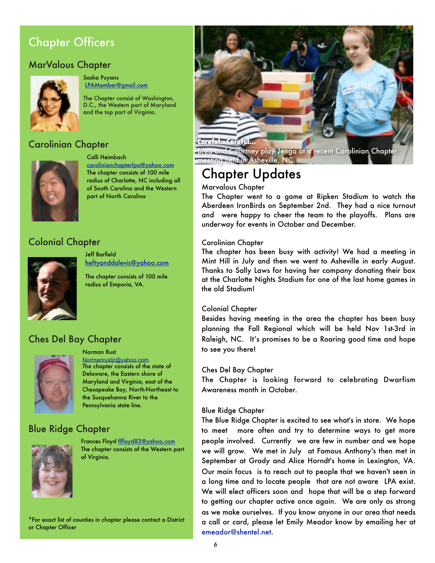## Chapter Officers

## MarValous Chapter



Sasha Puyans [LPAMember@gmail.com](http://us.mg6.mail.yahoo.com/yab-fe/mu/MainView?.src=neo&themeName=green&stab=1321216816461#)

The Chapter consist of Washington, D.C., the Western part of Maryland and the top part of Virginia.

## Carolinian Chapter



Calli Heimbach

[carolinianchapterlpa@yahoo.com](mailto:carolinianchapterlpa@yahoo.com) The chapter consists of 100 mile radius of Charlotte, NC including all of South Carolina and the Western part of North Carolina

## Colonial Chapter



Jeff Barfield [heftyanddalevis@yahoo.com](mailto:heftyanddalevis@yahoo.com)

The chapter consists of 100 mile radius of Emporia, VA.

## Ches Del Bay Chapter



#### Norman Rust

[Normanrustjr@yahoo.com](mailto:Normanrustjr@yahoo.com) The chapter consists of the state of Delaware, the Eastern shore of Maryland and Virginia, east of the Chesapeake Bay, North-Northeast to the Susquehanna River to the Pennsylvania state line.

## Blue Ridge Chapter



Frances Floyd [flfloyd83@yahoo.com](http://us.mg6.mail.yahoo.com/yab-fe/mu/MainView?.src=neo&themeName=green&stab=1321216816461#) The chapter consists of the Western part of Virginia.

\*For exact list of counties in chapter please contact a District or Chapter Officer



Brea and Courtney play Jenga at a recent Carolinian Chapter meeting held in Asheville, NC.

## Chapter Updates

#### Marvalous Chapter

The Chapter went to a game at Ripken Stadium to watch the Aberdeen IronBirds on September 2nd. They had a nice turnout and were happy to cheer the team to the playoffs. Plans are underway for events in October and December.

#### Carolinian Chapter

The chapter has been busy with activity! We had a meeting in Mint Hill in July and then we went to Asheville in early August. Thanks to Sally Laws for having her company donating their box at the Charlotte Nights Stadium for one of the last home games in the old Stadium!

#### Colonial Chapter

Besides having meeting in the area the chapter has been busy planning the Fall Regional which will be held Nov 1st-3rd in Raleigh, NC. It's promises to be a Roaring good time and hope to see you there!

#### Ches Del Bay Chapter

The Chapter is looking forward to celebrating Dwarfism Awareness month in October.

#### Blue Ridge Chapter

The Blue Ridge Chapter is excited to see what's in store. We hope to meet more often and try to determine ways to get more people involved. Currently we are few in number and we hope we will grow. We met in July at Famous Anthony's then met in September at Grady and Alice Horndt's home in Lexington, VA. Our main focus is to reach out to people that we haven't seen in a long time and to locate people that are not aware LPA exist. We will elect officers soon and hope that will be a step forward to getting our chapter active once again. We are only as strong as we make ourselves. If you know anyone in our area that needs a call or card, please let Emily Meador know by emailing her at [emeador@shentel.net.](mailto:emeador@shentel.net)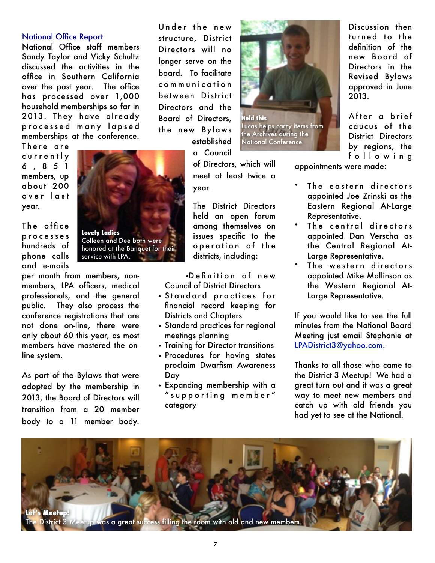#### National Office Report

National Office staff members Sandy Taylor and Vicky Schultz discussed the activities in the office in Southern California over the past year. The office has processed over 1,000 household memberships so far in 2013. They have already processed many lapsed memberships at the conference.

There are c u r r e n t l y 6 , 8 5 1 members, up about 200 over last year.

The office p r o c e s s e s hundreds of phone calls and e-mails

per month from members, nonmembers, LPA officers, medical professionals, and the general public. They also process the conference registrations that are not done on-line, there were only about 60 this year, as most members have mastered the online system.

**Lovely Ladies**

service with LPA.

Colleen and Dee both were honored at the Banquet for their

As part of the Bylaws that were adopted by the membership in 2013, the Board of Directors will transition from a 20 member body to a 11 member body.

Under the new structure, District Directors will no longer serve on the board. To facilitate c o m m u n i c a t i o n between District Directors and the Board of Directors, the new Bylaws established

a Council

of Directors, which will meet at least twice a year.

The District Directors held an open forum among themselves on issues specific to the operation of the districts, including:

•D e fi n i t i o n o f n e w Council of District Directors

- Standard practices for financial record keeping for Districts and Chapters
- Standard practices for regional meetings planning
- Training for Director transitions
- Procedures for having states proclaim Dwarfism Awareness Day
- Expanding membership with a " s u p p o r t i n g m e m b e r " category



Lucas helps carry items from the Archives during the National Conference

Discussion then turned to the definition of the new Board of Directors in the Revised Bylaws approved in June 2013.

After a brief caucus of the District Directors by regions, the f ollowing

appointments were made:

- The eastern directors appointed Joe Zrinski as the Eastern Regional At-Large Representative.
- The central directors appointed Dan Verscha as the Central Regional At-Large Representative.
- The western directors appointed Mike Mallinson as the Western Regional At-Large Representative.

If you would like to see the full minutes from the National Board Meeting just email Stephanie at [LPADistrict3@yahoo.com.](mailto:LPADistrict3@yahoo.com)

Thanks to all those who came to the District 3 Meetup! We had a great turn out and it was a great way to meet new members and catch up with old friends you had yet to see at the National.